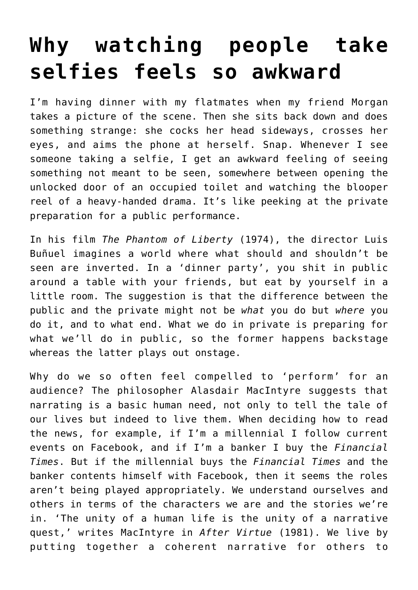## **[Why watching people take](https://intellectualtakeout.org/2016/08/why-watching-people-take-selfies-feels-so-awkward/) [selfies feels so awkward](https://intellectualtakeout.org/2016/08/why-watching-people-take-selfies-feels-so-awkward/)**

I'm having dinner with my flatmates when my friend Morgan takes a picture of the scene. Then she sits back down and does something strange: she cocks her head sideways, crosses her eyes, and aims the phone at herself. Snap. Whenever I see someone taking a selfie, I get an awkward feeling of seeing something not meant to be seen, somewhere between opening the unlocked door of an occupied toilet and watching the blooper reel of a heavy-handed drama. It's like peeking at the private preparation for a public performance.

In his film *The Phantom of Liberty* (1974), the director Luis Buñuel imagines a world where what should and shouldn't be seen are inverted. In a 'dinner party', you shit in public around a table with your friends, but eat by yourself in a little room. The suggestion is that the difference between the public and the private might not be *what* you do but *where* you do it, and to what end. What we do in private is preparing for what we'll do in public, so the former happens backstage whereas the latter plays out onstage.

Why do we so often feel compelled to 'perform' for an audience? The philosopher Alasdair MacIntyre suggests that narrating is a basic human need, not only to tell the tale of our lives but indeed to live them. When deciding how to read the news, for example, if I'm a millennial I follow current events on Facebook, and if I'm a banker I buy the *Financial Times*. But if the millennial buys the *Financial Times* and the banker contents himself with Facebook, then it seems the roles aren't being played appropriately. We understand ourselves and others in terms of the characters we are and the stories we're in. 'The unity of a human life is the unity of a narrative quest,' writes MacIntyre in *After Virtue* (1981). We live by putting together a coherent narrative for others to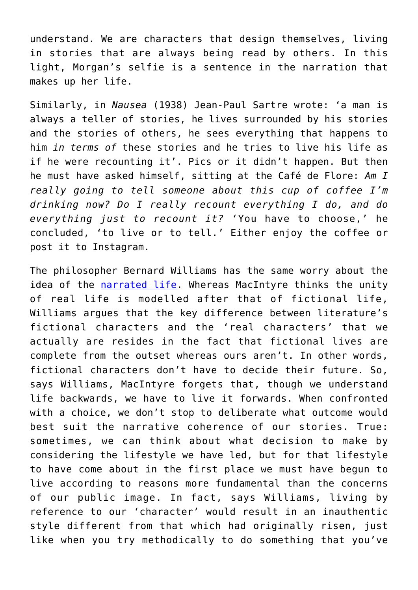understand. We are characters that design themselves, living in stories that are always being read by others. In this light, Morgan's selfie is a sentence in the narration that makes up her life.

Similarly, in *Nausea* (1938) Jean-Paul Sartre wrote: 'a man is always a teller of stories, he lives surrounded by his stories and the stories of others, he sees everything that happens to him *in terms of* these stories and he tries to live his life as if he were recounting it'. Pics or it didn't happen. But then he must have asked himself, sitting at the Café de Flore: *Am I really going to tell someone about this cup of coffee I'm drinking now? Do I really recount everything I do, and do everything just to recount it?* 'You have to choose,' he concluded, 'to live or to tell.' Either enjoy the coffee or post it to Instagram.

The philosopher Bernard Williams has the same worry about the idea of the [narrated life.](http://onlinelibrary.wiley.com/doi/10.1111/j.1468-0378.2007.00275.x/abstract) Whereas MacIntyre thinks the unity of real life is modelled after that of fictional life, Williams argues that the key difference between literature's fictional characters and the 'real characters' that we actually are resides in the fact that fictional lives are complete from the outset whereas ours aren't. In other words, fictional characters don't have to decide their future. So, says Williams, MacIntyre forgets that, though we understand life backwards, we have to live it forwards. When confronted with a choice, we don't stop to deliberate what outcome would best suit the narrative coherence of our stories. True: sometimes, we can think about what decision to make by considering the lifestyle we have led, but for that lifestyle to have come about in the first place we must have begun to live according to reasons more fundamental than the concerns of our public image. In fact, says Williams, living by reference to our 'character' would result in an inauthentic style different from that which had originally risen, just like when you try methodically to do something that you've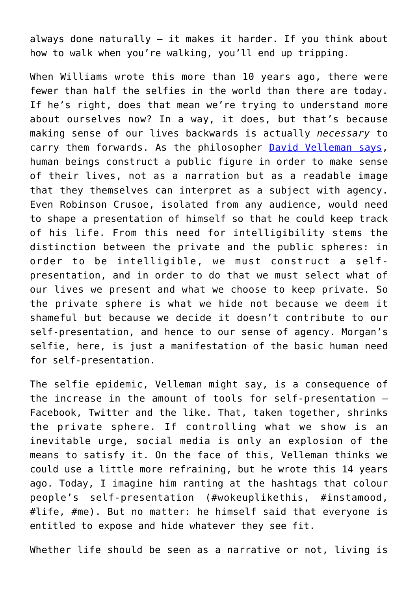always done naturally – it makes it harder. If you think about how to walk when you're walking, you'll end up tripping.

When Williams wrote this more than 10 years ago, there were fewer than half the selfies in the world than there are today. If he's right, does that mean we're trying to understand more about ourselves now? In a way, it does, but that's because making sense of our lives backwards is actually *necessary* to carry them forwards. As the philosopher [David Velleman says,](https://pantherfile.uwm.edu/hinchman/www/Velleman-Dennett.pdf) human beings construct a public figure in order to make sense of their lives, not as a narration but as a readable image that they themselves can interpret as a subject with agency. Even Robinson Crusoe, isolated from any audience, would need to shape a presentation of himself so that he could keep track of his life. From this need for intelligibility stems the distinction between the private and the public spheres: in order to be intelligible, we must construct a selfpresentation, and in order to do that we must select what of our lives we present and what we choose to keep private. So the private sphere is what we hide not because we deem it shameful but because we decide it doesn't contribute to our self-presentation, and hence to our sense of agency. Morgan's selfie, here, is just a manifestation of the basic human need for self-presentation.

The selfie epidemic, Velleman might say, is a consequence of the increase in the amount of tools for self-presentation – Facebook, Twitter and the like. That, taken together, shrinks the private sphere. If controlling what we show is an inevitable urge, social media is only an explosion of the means to satisfy it. On the face of this, Velleman thinks we could use a little more refraining, but he wrote this 14 years ago. Today, I imagine him ranting at the hashtags that colour people's self-presentation (#wokeuplikethis, #instamood, #life, #me). But no matter: he himself said that everyone is entitled to expose and hide whatever they see fit.

Whether life should be seen as a narrative or not, living is